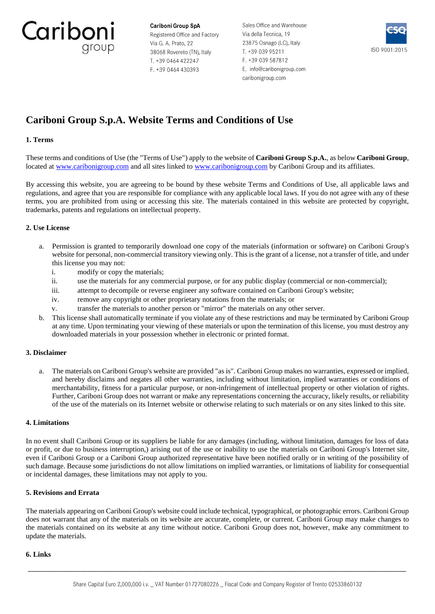Cariboni group

Cariboni Group SpA Registered Office and Factory Via G. A. Prato, 22 38068 Rovereto (TN), Italy T. +39 0464 422247 F. +39 0464 430393

Sales Office and Warehouse Via della Tecnica, 19 23875 Osnago (LC), Italy T. +39 039 95211 F. +39 039 587812 E. info@caribonigroup.com caribonigroup.com



# **Cariboni Group S.p.A. Website Terms and Conditions of Use**

# **1. Terms**

These terms and conditions of Use (the "Terms of Use") apply to the website of **Cariboni Group S.p.A.**, as below **Cariboni Group**, located at [www.caribonigroup.com](https://www.caribonigroup.com/en/) and all sites linked to www.caribonigroup.com by Cariboni Group and its affiliates.

By accessing this website, you are agreeing to be bound by these website Terms and Conditions of Use, all applicable laws and regulations, and agree that you are responsible for compliance with any applicable local laws. If you do not agree with any of these terms, you are prohibited from using or accessing this site. The materials contained in this website are protected by copyright, trademarks, patents and regulations on intellectual property.

# **2. Use License**

- a. Permission is granted to temporarily download one copy of the materials (information or software) on Cariboni Group's website for personal, non-commercial transitory viewing only. This is the grant of a license, not a transfer of title, and under this license you may not:
	- i. modify or copy the materials;
	- ii. use the materials for any commercial purpose, or for any public display (commercial or non-commercial);
	- iii. attempt to decompile or reverse engineer any software contained on Cariboni Group's website;
	- iv. remove any copyright or other proprietary notations from the materials; or
	- v. transfer the materials to another person or "mirror" the materials on any other server.
- b. This license shall automatically terminate if you violate any of these restrictions and may be terminated by Cariboni Group at any time. Upon terminating your viewing of these materials or upon the termination of this license, you must destroy any downloaded materials in your possession whether in electronic or printed format.

# **3. Disclaimer**

a. The materials on Cariboni Group's website are provided "as is". Cariboni Group makes no warranties, expressed or implied, and hereby disclaims and negates all other warranties, including without limitation, implied warranties or conditions of merchantability, fitness for a particular purpose, or non-infringement of intellectual property or other violation of rights. Further, Cariboni Group does not warrant or make any representations concerning the accuracy, likely results, or reliability of the use of the materials on its Internet website or otherwise relating to such materials or on any sites linked to this site.

# **4. Limitations**

In no event shall Cariboni Group or its suppliers be liable for any damages (including, without limitation, damages for loss of data or profit, or due to business interruption,) arising out of the use or inability to use the materials on Cariboni Group's Internet site, even if Cariboni Group or a Cariboni Group authorized representative have been notified orally or in writing of the possibility of such damage. Because some jurisdictions do not allow limitations on implied warranties, or limitations of liability for consequential or incidental damages, these limitations may not apply to you.

# **5. Revisions and Errata**

The materials appearing on Cariboni Group's website could include technical, typographical, or photographic errors. Cariboni Group does not warrant that any of the materials on its website are accurate, complete, or current. Cariboni Group may make changes to the materials contained on its website at any time without notice. Cariboni Group does not, however, make any commitment to update the materials.

# **6. Links**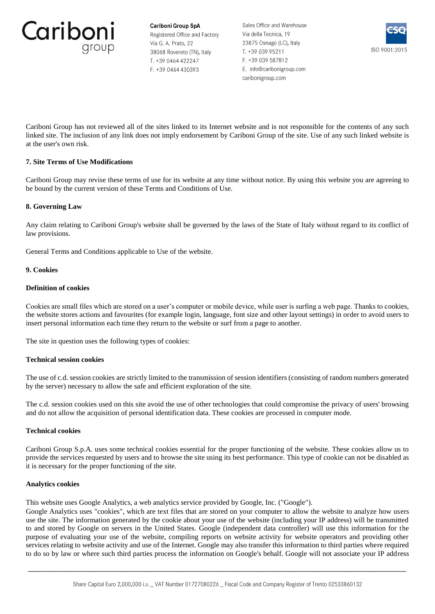

Sales Office and Warehouse Via della Tecnica, 19 23875 Osnago (LC), Italy T. +39 039 95211 F. +39 039 587812 E. info@caribonigroup.com caribonigroup.com



Cariboni Group has not reviewed all of the sites linked to its Internet website and is not responsible for the contents of any such linked site. The inclusion of any link does not imply endorsement by Cariboni Group of the site. Use of any such linked website is at the user's own risk.

# **7. Site Terms of Use Modifications**

Cariboni Group may revise these terms of use for its website at any time without notice. By using this website you are agreeing to be bound by the current version of these Terms and Conditions of Use.

# **8. Governing Law**

Any claim relating to Cariboni Group's website shall be governed by the laws of the State of Italy without regard to its conflict of law provisions.

General Terms and Conditions applicable to Use of the website.

# **9. Cookies**

# **Definition of cookies**

Cookies are small files which are stored on a user's computer or mobile device, while user is surfing a web page. Thanks to cookies, the website stores actions and favourites (for example login, language, font size and other layout settings) in order to avoid users to insert personal information each time they return to the website or surf from a page to another.

The site in question uses the following types of cookies:

# **Technical session cookies**

The use of c.d. session cookies are strictly limited to the transmission of session identifiers (consisting of random numbers generated by the server) necessary to allow the safe and efficient exploration of the site.

The c.d. session cookies used on this site avoid the use of other technologies that could compromise the privacy of users' browsing and do not allow the acquisition of personal identification data. These cookies are processed in computer mode.

# **Technical cookies**

Cariboni Group S.p.A. uses some technical cookies essential for the proper functioning of the website. These cookies allow us to provide the services requested by users and to browse the site using its best performance. This type of cookie can not be disabled as it is necessary for the proper functioning of the site.

# **Analytics cookies**

This website uses Google Analytics, a web analytics service provided by Google, Inc. ("Google").

Google Analytics uses "cookies", which are text files that are stored on your computer to allow the website to analyze how users use the site. The information generated by the cookie about your use of the website (including your IP address) will be transmitted to and stored by Google on servers in the United States. Google (independent data controller) will use this information for the purpose of evaluating your use of the website, compiling reports on website activity for website operators and providing other services relating to website activity and use of the Internet. Google may also transfer this information to third parties where required to do so by law or where such third parties process the information on Google's behalf. Google will not associate your IP address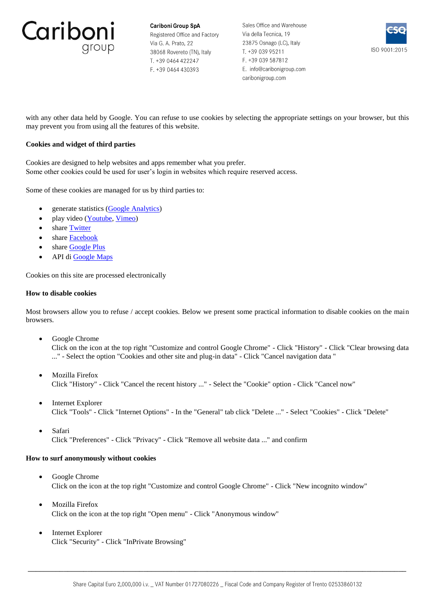

Sales Office and Warehouse Via della Tecnica, 19 23875 Osnago (LC), Italy T. +39 039 95211 F. +39 039 587812 E. info@caribonigroup.com caribonigroup.com



with any other data held by Google. You can refuse to use cookies by selecting the appropriate settings on your browser, but this may prevent you from using all the features of this website.

# **Cookies and widget of third parties**

Cookies are designed to help websites and apps remember what you prefer. Some other cookies could be used for user's login in websites which require reserved access.

Some of these cookies are managed for us by third parties to:

- generate statistics [\(Google Analytics\)](https://developers.google.com/analytics/devguides/collection/analyticsjs/cookie-usage)
- play video [\(Youtube,](https://policies.google.com/privacy?hl=en-GB&gl=it) [Vimeo\)](https://vimeo.com/privacy)
- share [Twitter](https://help.twitter.com/en/rules-and-policies/twitter-cookies)
- share [Facebook](https://www.facebook.com/full_data_use_policy)
- share [Google Plus](https://policies.google.com/privacy)
- API di [Google Maps](https://cloud.google.com/maps-platform/terms/?__utma=102347093.1257479088.1528706657.1528706898.1528706898.1&__utmb=102347093.0.10.1528706898&__utmc=102347093&__utmx=-&__utmz=102347093.1528706898.1.1.utmcsr=google%7Cutmccn=(organic)%7Cutmcmd=organic%7Cutmctr=(not%20provided)&__utmv=-&__utmk=131190031&_ga=2.68354705.1007986718.1528706657-1257479088.1528706657)

Cookies on this site are processed electronically

### **How to disable cookies**

Most browsers allow you to refuse / accept cookies. Below we present some practical information to disable cookies on the main browsers.

• Google Chrome

Click on the icon at the top right "Customize and control Google Chrome" - Click "History" - Click "Clear browsing data ..." - Select the option "Cookies and other site and plug-in data" - Click "Cancel navigation data "

- Mozilla Firefox Click "History" - Click "Cancel the recent history ..." - Select the "Cookie" option - Click "Cancel now"
- Internet Explorer Click "Tools" - Click "Internet Options" - In the "General" tab click "Delete ..." - Select "Cookies" - Click "Delete"
- Safari Click "Preferences" - Click "Privacy" - Click "Remove all website data ..." and confirm

# **How to surf anonymously without cookies**

- Google Chrome Click on the icon at the top right "Customize and control Google Chrome" - Click "New incognito window"
- Mozilla Firefox Click on the icon at the top right "Open menu" - Click "Anonymous window"
- Internet Explorer Click "Security" - Click "InPrivate Browsing"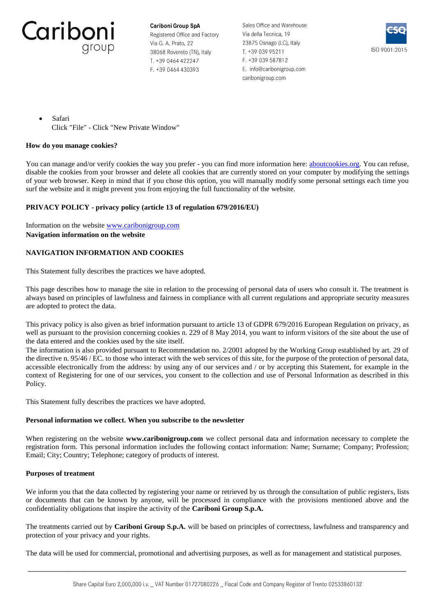

Sales Office and Warehouse Via della Tecnica, 19 23875 Osnago (LC), Italy T. +39 039 95211 F. +39 039 587812 E. info@caribonigroup.com caribonigroup.com



• Safari Click "File" - Click "New Private Window"

# **How do you manage cookies?**

You can manage and/or verify cookies the way you prefer - you can find more information here[: aboutcookies.org.](https://www.aboutcookies.org/) You can refuse, disable the cookies from your browser and delete all cookies that are currently stored on your computer by modifying the settings of your web browser. Keep in mind that if you chose this option, you will manually modify some personal settings each time you surf the website and it might prevent you from enjoying the full functionality of the website.

# **PRIVACY POLICY - privacy policy (article 13 of regulation 679/2016/EU)**

Information on the website [www.caribonigroup.com](https://www.caribonigroup.com/en/) **Navigation information on the website**

# **NAVIGATION INFORMATION AND COOKIES**

This Statement fully describes the practices we have adopted.

This page describes how to manage the site in relation to the processing of personal data of users who consult it. The treatment is always based on principles of lawfulness and fairness in compliance with all current regulations and appropriate security measures are adopted to protect the data.

This privacy policy is also given as brief information pursuant to article 13 of GDPR 679/2016 European Regulation on privacy, as well as pursuant to the provision concerning cookies n. 229 of 8 May 2014, you want to inform visitors of the site about the use of the data entered and the cookies used by the site itself.

The information is also provided pursuant to Recommendation no. 2/2001 adopted by the Working Group established by art. 29 of the directive n. 95/46 / EC. to those who interact with the web services of this site, for the purpose of the protection of personal data, accessible electronically from the address: by using any of our services and / or by accepting this Statement, for example in the context of Registering for one of our services, you consent to the collection and use of Personal Information as described in this Policy.

This Statement fully describes the practices we have adopted.

# **Personal information we collect. When you subscribe to the newsletter**

When registering on the website **www.caribonigroup.com** we collect personal data and information necessary to complete the registration form. This personal information includes the following contact information: Name; Surname; Company; Profession; Email; City; Country; Telephone; category of products of interest.

# **Purposes of treatment**

We inform you that the data collected by registering your name or retrieved by us through the consultation of public registers, lists or documents that can be known by anyone, will be processed in compliance with the provisions mentioned above and the confidentiality obligations that inspire the activity of the **Cariboni Group S.p.A.**

The treatments carried out by **Cariboni Group S.p.A.** will be based on principles of correctness, lawfulness and transparency and protection of your privacy and your rights.

The data will be used for commercial, promotional and advertising purposes, as well as for management and statistical purposes.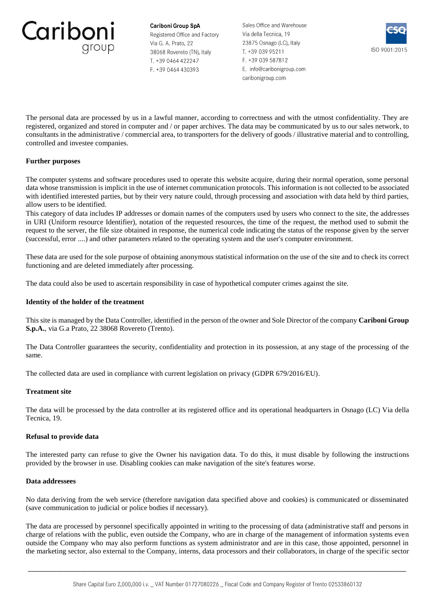

Sales Office and Warehouse Via della Tecnica, 19 23875 Osnago (LC), Italy T. +39 039 95211 F. +39 039 587812 E. info@caribonigroup.com caribonigroup.com



The personal data are processed by us in a lawful manner, according to correctness and with the utmost confidentiality. They are registered, organized and stored in computer and / or paper archives. The data may be communicated by us to our sales network, to consultants in the administrative / commercial area, to transporters for the delivery of goods / illustrative material and to controlling, controlled and investee companies.

# **Further purposes**

The computer systems and software procedures used to operate this website acquire, during their normal operation, some personal data whose transmission is implicit in the use of internet communication protocols. This information is not collected to be associated with identified interested parties, but by their very nature could, through processing and association with data held by third parties, allow users to be identified.

This category of data includes IP addresses or domain names of the computers used by users who connect to the site, the addresses in URI (Uniform resource Identifier), notation of the requested resources, the time of the request, the method used to submit the request to the server, the file size obtained in response, the numerical code indicating the status of the response given by the server (successful, error ....) and other parameters related to the operating system and the user's computer environment.

These data are used for the sole purpose of obtaining anonymous statistical information on the use of the site and to check its correct functioning and are deleted immediately after processing.

The data could also be used to ascertain responsibility in case of hypothetical computer crimes against the site.

# **Identity of the holder of the treatment**

This site is managed by the Data Controller, identified in the person of the owner and Sole Director of the company **Cariboni Group S.p.A.**, via G.a Prato, 22 38068 Rovereto (Trento).

The Data Controller guarantees the security, confidentiality and protection in its possession, at any stage of the processing of the same.

The collected data are used in compliance with current legislation on privacy (GDPR 679/2016/EU).

#### **Treatment site**

The data will be processed by the data controller at its registered office and its operational headquarters in Osnago (LC) Via della Tecnica, 19.

#### **Refusal to provide data**

The interested party can refuse to give the Owner his navigation data. To do this, it must disable by following the instructions provided by the browser in use. Disabling cookies can make navigation of the site's features worse.

#### **Data addressees**

No data deriving from the web service (therefore navigation data specified above and cookies) is communicated or disseminated (save communication to judicial or police bodies if necessary).

The data are processed by personnel specifically appointed in writing to the processing of data (administrative staff and persons in charge of relations with the public, even outside the Company, who are in charge of the management of information systems even outside the Company who may also perform functions as system administrator and are in this case, those appointed, personnel in the marketing sector, also external to the Company, interns, data processors and their collaborators, in charge of the specific sector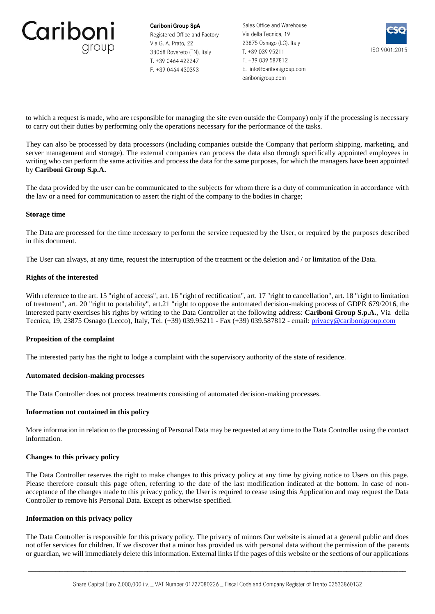

Sales Office and Warehouse Via della Tecnica, 19 23875 Osnago (LC), Italy T. +39 039 95211 F. +39 039 587812 E. info@caribonigroup.com caribonigroup.com



to which a request is made, who are responsible for managing the site even outside the Company) only if the processing is necessary to carry out their duties by performing only the operations necessary for the performance of the tasks.

They can also be processed by data processors (including companies outside the Company that perform shipping, marketing, and server management and storage). The external companies can process the data also through specifically appointed employees in writing who can perform the same activities and process the data for the same purposes, for which the managers have been appointed by **Cariboni Group S.p.A.**

The data provided by the user can be communicated to the subjects for whom there is a duty of communication in accordance with the law or a need for communication to assert the right of the company to the bodies in charge;

### **Storage time**

The Data are processed for the time necessary to perform the service requested by the User, or required by the purposes described in this document.

The User can always, at any time, request the interruption of the treatment or the deletion and / or limitation of the Data.

# **Rights of the interested**

With reference to the art. 15 "right of access", art. 16 "right of rectification", art. 17 "right to cancellation", art. 18 "right to limitation of treatment", art. 20 "right to portability", art.21 "right to oppose the automated decision-making process of GDPR 679/2016, the interested party exercises his rights by writing to the Data Controller at the following address: **Cariboni Group S.p.A.**, Via della Tecnica, 19, 23875 Osnago (Lecco), Italy, Tel. (+39) 039.95211 - Fax (+39) 039.587812 - email: [privacy@caribonigroup.com](mailto:privacy@caribonigroup.com)

# **Proposition of the complaint**

The interested party has the right to lodge a complaint with the supervisory authority of the state of residence.

# **Automated decision-making processes**

The Data Controller does not process treatments consisting of automated decision-making processes.

# **Information not contained in this policy**

More information in relation to the processing of Personal Data may be requested at any time to the Data Controller using the contact information.

#### **Changes to this privacy policy**

The Data Controller reserves the right to make changes to this privacy policy at any time by giving notice to Users on this page. Please therefore consult this page often, referring to the date of the last modification indicated at the bottom. In case of nonacceptance of the changes made to this privacy policy, the User is required to cease using this Application and may request the Data Controller to remove his Personal Data. Except as otherwise specified.

#### **Information on this privacy policy**

The Data Controller is responsible for this privacy policy. The privacy of minors Our website is aimed at a general public and does not offer services for children. If we discover that a minor has provided us with personal data without the permission of the parents or guardian, we will immediately delete this information. External links If the pages of this website or the sections of our applications